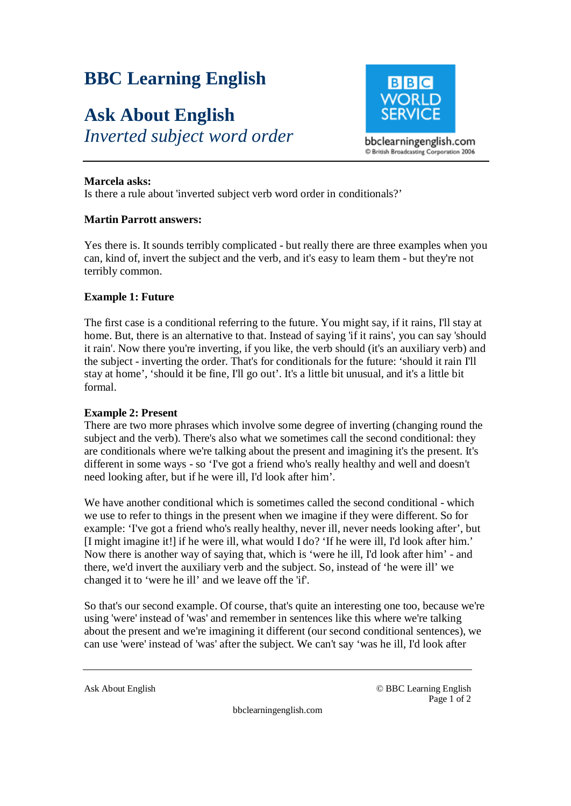# **BBC Learning English**

# **Ask About English**

*Inverted subject word order* 



#### **Marcela asks:**

Is there a rule about 'inverted subject verb word order in conditionals?'

### **Martin Parrott answers:**

Yes there is. It sounds terribly complicated - but really there are three examples when you can, kind of, invert the subject and the verb, and it's easy to learn them - but they're not terribly common.

## **Example 1: Future**

The first case is a conditional referring to the future. You might say, if it rains, I'll stay at home. But, there is an alternative to that. Instead of saying 'if it rains', you can say 'should it rain'. Now there you're inverting, if you like, the verb should (it's an auxiliary verb) and the subject - inverting the order. That's for conditionals for the future: 'should it rain I'll stay at home', 'should it be fine, I'll go out'. It's a little bit unusual, and it's a little bit formal.

## **Example 2: Present**

There are two more phrases which involve some degree of inverting (changing round the subject and the verb). There's also what we sometimes call the second conditional: they are conditionals where we're talking about the present and imagining it's the present. It's different in some ways - so 'I've got a friend who's really healthy and well and doesn't need looking after, but if he were ill, I'd look after him'.

We have another conditional which is sometimes called the second conditional - which we use to refer to things in the present when we imagine if they were different. So for example: 'I've got a friend who's really healthy, never ill, never needs looking after', but [I might imagine it!] if he were ill, what would I do? 'If he were ill, I'd look after him.' Now there is another way of saying that, which is 'were he ill, I'd look after him' - and there, we'd invert the auxiliary verb and the subject. So, instead of 'he were ill' we changed it to 'were he ill' and we leave off the 'if'.

So that's our second example. Of course, that's quite an interesting one too, because we're using 'were' instead of 'was' and remember in sentences like this where we're talking about the present and we're imagining it different (our second conditional sentences), we can use 'were' instead of 'was' after the subject. We can't say 'was he ill, I'd look after

Ask About English © BBC Learning English Page 1 of 2

bbclearningenglish.com